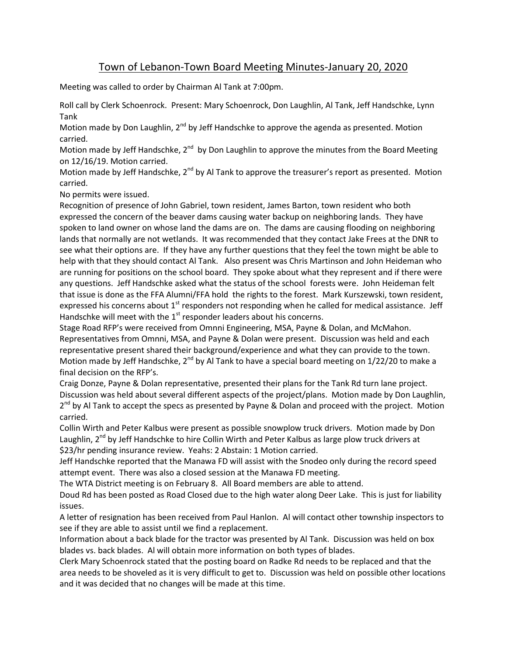## Town of Lebanon-Town Board Meeting Minutes-January 20, 2020

Meeting was called to order by Chairman Al Tank at 7:00pm.

Roll call by Clerk Schoenrock. Present: Mary Schoenrock, Don Laughlin, Al Tank, Jeff Handschke, Lynn Tank

Motion made by Don Laughlin,  $2^{nd}$  by Jeff Handschke to approve the agenda as presented. Motion carried.

Motion made by Jeff Handschke, 2<sup>nd</sup> by Don Laughlin to approve the minutes from the Board Meeting on 12/16/19. Motion carried.

Motion made by Jeff Handschke, 2<sup>nd</sup> by Al Tank to approve the treasurer's report as presented. Motion carried.

No permits were issued.

Recognition of presence of John Gabriel, town resident, James Barton, town resident who both expressed the concern of the beaver dams causing water backup on neighboring lands. They have spoken to land owner on whose land the dams are on. The dams are causing flooding on neighboring lands that normally are not wetlands. It was recommended that they contact Jake Frees at the DNR to see what their options are. If they have any further questions that they feel the town might be able to help with that they should contact Al Tank. Also present was Chris Martinson and John Heideman who are running for positions on the school board. They spoke about what they represent and if there were any questions. Jeff Handschke asked what the status of the school forests were. John Heideman felt that issue is done as the FFA Alumni/FFA hold the rights to the forest. Mark Kurszewski, town resident, expressed his concerns about  $1<sup>st</sup>$  responders not responding when he called for medical assistance. Jeff Handschke will meet with the  $1<sup>st</sup>$  responder leaders about his concerns.

Stage Road RFP's were received from Omnni Engineering, MSA, Payne & Dolan, and McMahon. Representatives from Omnni, MSA, and Payne & Dolan were present. Discussion was held and each representative present shared their background/experience and what they can provide to the town. Motion made by Jeff Handschke, 2<sup>nd</sup> by Al Tank to have a special board meeting on 1/22/20 to make a final decision on the RFP's.

Craig Donze, Payne & Dolan representative, presented their plans for the Tank Rd turn lane project. Discussion was held about several different aspects of the project/plans. Motion made by Don Laughlin, 2<sup>nd</sup> by Al Tank to accept the specs as presented by Payne & Dolan and proceed with the project. Motion carried.

Collin Wirth and Peter Kalbus were present as possible snowplow truck drivers. Motion made by Don Laughlin,  $2<sup>nd</sup>$  by Jeff Handschke to hire Collin Wirth and Peter Kalbus as large plow truck drivers at \$23/hr pending insurance review. Yeahs: 2 Abstain: 1 Motion carried.

Jeff Handschke reported that the Manawa FD will assist with the Snodeo only during the record speed attempt event. There was also a closed session at the Manawa FD meeting.

The WTA District meeting is on February 8. All Board members are able to attend.

Doud Rd has been posted as Road Closed due to the high water along Deer Lake. This is just for liability issues.

A letter of resignation has been received from Paul Hanlon. Al will contact other township inspectors to see if they are able to assist until we find a replacement.

Information about a back blade for the tractor was presented by Al Tank. Discussion was held on box blades vs. back blades. Al will obtain more information on both types of blades.

Clerk Mary Schoenrock stated that the posting board on Radke Rd needs to be replaced and that the area needs to be shoveled as it is very difficult to get to. Discussion was held on possible other locations and it was decided that no changes will be made at this time.